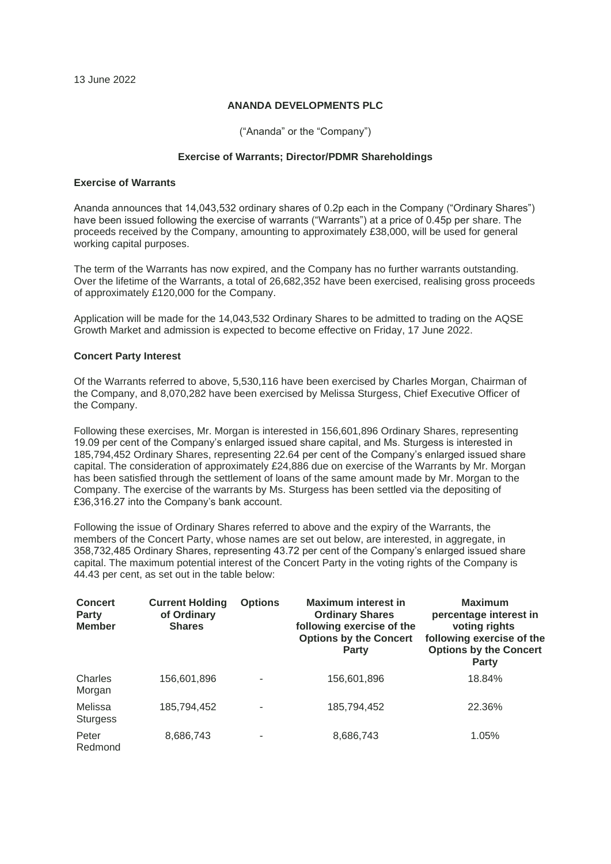13 June 2022

## **ANANDA DEVELOPMENTS PLC**

("Ananda" or the "Company")

## **Exercise of Warrants; Director/PDMR Shareholdings**

#### **Exercise of Warrants**

Ananda announces that 14,043,532 ordinary shares of 0.2p each in the Company ("Ordinary Shares") have been issued following the exercise of warrants ("Warrants") at a price of 0.45p per share. The proceeds received by the Company, amounting to approximately £38,000, will be used for general working capital purposes.

The term of the Warrants has now expired, and the Company has no further warrants outstanding. Over the lifetime of the Warrants, a total of 26,682,352 have been exercised, realising gross proceeds of approximately £120,000 for the Company.

Application will be made for the 14,043,532 Ordinary Shares to be admitted to trading on the AQSE Growth Market and admission is expected to become effective on Friday, 17 June 2022.

#### **Concert Party Interest**

Of the Warrants referred to above, 5,530,116 have been exercised by Charles Morgan, Chairman of the Company, and 8,070,282 have been exercised by Melissa Sturgess, Chief Executive Officer of the Company.

Following these exercises, Mr. Morgan is interested in 156,601,896 Ordinary Shares, representing 19.09 per cent of the Company's enlarged issued share capital, and Ms. Sturgess is interested in 185,794,452 Ordinary Shares, representing 22.64 per cent of the Company's enlarged issued share capital. The consideration of approximately £24,886 due on exercise of the Warrants by Mr. Morgan has been satisfied through the settlement of loans of the same amount made by Mr. Morgan to the Company. The exercise of the warrants by Ms. Sturgess has been settled via the depositing of £36,316.27 into the Company's bank account.

Following the issue of Ordinary Shares referred to above and the expiry of the Warrants, the members of the Concert Party, whose names are set out below, are interested, in aggregate, in 358,732,485 Ordinary Shares, representing 43.72 per cent of the Company's enlarged issued share capital. The maximum potential interest of the Concert Party in the voting rights of the Company is 44.43 per cent, as set out in the table below:

| <b>Concert</b><br><b>Party</b><br><b>Member</b> | <b>Current Holding</b><br>of Ordinary<br><b>Shares</b> | <b>Options</b> | <b>Maximum interest in</b><br><b>Ordinary Shares</b><br>following exercise of the<br><b>Options by the Concert</b><br><b>Party</b> | <b>Maximum</b><br>percentage interest in<br>voting rights<br>following exercise of the<br><b>Options by the Concert</b><br>Party |
|-------------------------------------------------|--------------------------------------------------------|----------------|------------------------------------------------------------------------------------------------------------------------------------|----------------------------------------------------------------------------------------------------------------------------------|
| Charles<br>Morgan                               | 156,601,896                                            | ٠              | 156,601,896                                                                                                                        | 18.84%                                                                                                                           |
| Melissa<br><b>Sturgess</b>                      | 185,794,452                                            | ۰              | 185,794,452                                                                                                                        | 22.36%                                                                                                                           |
| Peter<br>Redmond                                | 8,686,743                                              | ۰              | 8,686,743                                                                                                                          | 1.05%                                                                                                                            |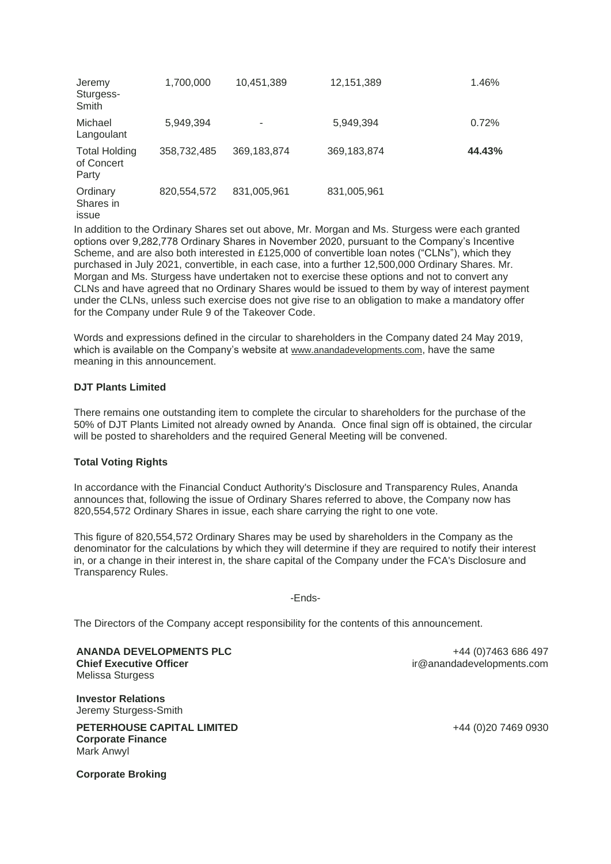| Jeremy<br>Sturgess-<br>Smith                | 1,700,000   | 10,451,389    | 12,151,389    | 1.46%  |
|---------------------------------------------|-------------|---------------|---------------|--------|
| Michael<br>Langoulant                       | 5,949,394   | ٠             | 5,949,394     | 0.72%  |
| <b>Total Holding</b><br>of Concert<br>Party | 358,732,485 | 369, 183, 874 | 369, 183, 874 | 44.43% |
| Ordinary<br>Shares in<br>issue              | 820,554,572 | 831,005,961   | 831,005,961   |        |

In addition to the Ordinary Shares set out above, Mr. Morgan and Ms. Sturgess were each granted options over 9,282,778 Ordinary Shares in November 2020, pursuant to the Company's Incentive Scheme, and are also both interested in £125,000 of convertible loan notes ("CLNs"), which they purchased in July 2021, convertible, in each case, into a further 12,500,000 Ordinary Shares. Mr. Morgan and Ms. Sturgess have undertaken not to exercise these options and not to convert any CLNs and have agreed that no Ordinary Shares would be issued to them by way of interest payment under the CLNs, unless such exercise does not give rise to an obligation to make a mandatory offer for the Company under Rule 9 of the Takeover Code.

Words and expressions defined in the circular to shareholders in the Company dated 24 May 2019, which is available on the Company's website at [www.anandadevelopments.com](http://www.anandadevelopments.com/), have the same meaning in this announcement.

#### **DJT Plants Limited**

There remains one outstanding item to complete the circular to shareholders for the purchase of the 50% of DJT Plants Limited not already owned by Ananda. Once final sign off is obtained, the circular will be posted to shareholders and the required General Meeting will be convened.

#### **Total Voting Rights**

In accordance with the Financial Conduct Authority's Disclosure and Transparency Rules, Ananda announces that, following the issue of Ordinary Shares referred to above, the Company now has 820,554,572 Ordinary Shares in issue, each share carrying the right to one vote.

This figure of 820,554,572 Ordinary Shares may be used by shareholders in the Company as the denominator for the calculations by which they will determine if they are required to notify their interest in, or a change in their interest in, the share capital of the Company under the FCA's Disclosure and Transparency Rules.

#### -Ends-

The Directors of the Company accept responsibility for the contents of this announcement.

**ANANDA DEVELOPMENTS PLC Chief Executive Officer** Melissa Sturgess

**Investor Relations** Jeremy Sturgess-Smith

**PETERHOUSE CAPITAL LIMITED Corporate Finance** Mark Anwyl

+44 (0)7463 686 497 ir@anandadevelopments.com

+44 (0)20 7469 0930

**Corporate Broking**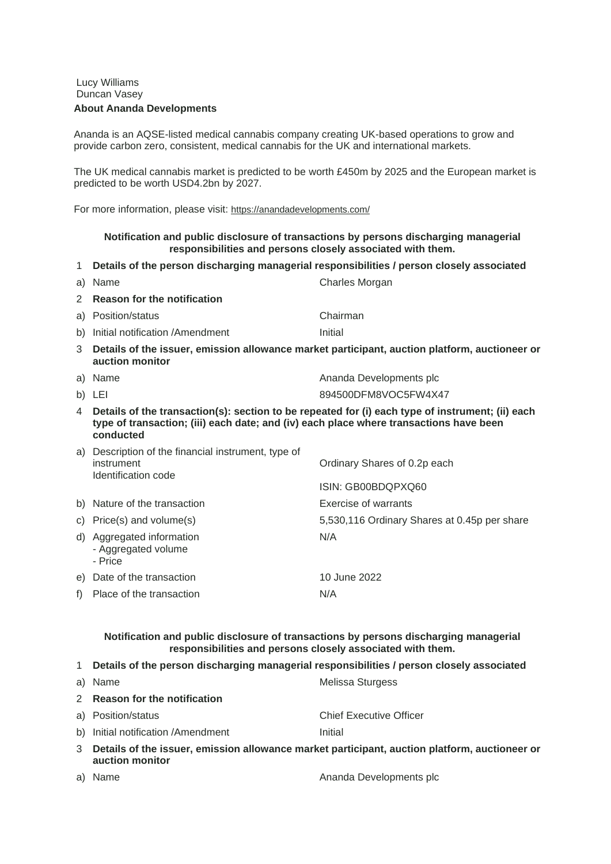# Lucy Williams Duncan Vasey **About Ananda Developments**

Ananda is an AQSE-listed medical cannabis company creating UK-based operations to grow and provide carbon zero, consistent, medical cannabis for the UK and international markets.

The UK medical cannabis market is predicted to be worth £450m by 2025 and the European market is predicted to be worth USD4.2bn by 2027.

For more information, please visit: <https://anandadevelopments.com/>

## **Notification and public disclosure of transactions by persons discharging managerial responsibilities and persons closely associated with them.**

1 **Details of the person discharging managerial responsibilities / person closely associated**

| a)             | Name                                                                                                                                                                                                    | Charles Morgan                                                                                |  |
|----------------|---------------------------------------------------------------------------------------------------------------------------------------------------------------------------------------------------------|-----------------------------------------------------------------------------------------------|--|
| $\overline{2}$ | <b>Reason for the notification</b>                                                                                                                                                                      |                                                                                               |  |
| a)             | Position/status                                                                                                                                                                                         | Chairman                                                                                      |  |
| b)             | Initial notification / Amendment                                                                                                                                                                        | Initial                                                                                       |  |
| 3              | auction monitor                                                                                                                                                                                         | Details of the issuer, emission allowance market participant, auction platform, auctioneer or |  |
| a)             | Name                                                                                                                                                                                                    | Ananda Developments plc                                                                       |  |
|                | b) LEI                                                                                                                                                                                                  | 894500DFM8VOC5FW4X47                                                                          |  |
| 4              | Details of the transaction(s): section to be repeated for (i) each type of instrument; (ii) each<br>type of transaction; (iii) each date; and (iv) each place where transactions have been<br>conducted |                                                                                               |  |
| a)             | Description of the financial instrument, type of<br>instrument<br>Identification code                                                                                                                   | Ordinary Shares of 0.2p each                                                                  |  |
|                |                                                                                                                                                                                                         | ISIN: GB00BDQPXQ60                                                                            |  |
| b)             | Nature of the transaction                                                                                                                                                                               | Exercise of warrants                                                                          |  |
| C)             | Price(s) and volume(s)                                                                                                                                                                                  | 5,530,116 Ordinary Shares at 0.45p per share                                                  |  |
| d)             | Aggregated information<br>- Aggregated volume<br>- Price                                                                                                                                                | N/A                                                                                           |  |
| e)             | Date of the transaction                                                                                                                                                                                 | 10 June 2022                                                                                  |  |
| f)             | Place of the transaction                                                                                                                                                                                | N/A                                                                                           |  |

**Notification and public disclosure of transactions by persons discharging managerial responsibilities and persons closely associated with them.**

# 1 **Details of the person discharging managerial responsibilities / person closely associated** a) Name Melissa Sturgess 2 **Reason for the notification** a) Position/status Chief Executive Officer b) Initial notification /Amendment Initial 3 **Details of the issuer, emission allowance market participant, auction platform, auctioneer or auction monitor**

a) Name **Ananda Developments plc** Ananda Developments plc